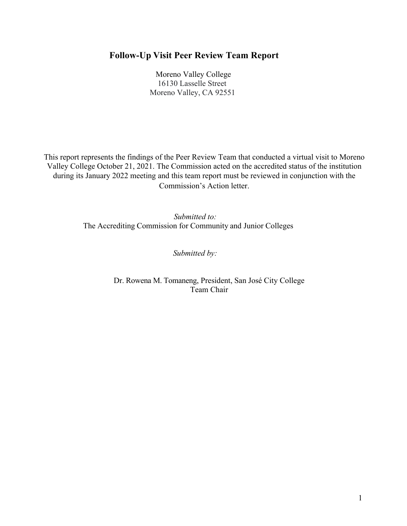# **Follow-Up Visit Peer Review Team Report**

 Moreno Valley College 16130 Lasselle Street Moreno Valley, CA 92551

This report represents the findings of the Peer Review Team that conducted a virtual visit to Moreno Valley College October 21, 2021. The Commission acted on the accredited status of the institution during its January 2022 meeting and this team report must be reviewed in conjunction with the Commission's Action letter.

> *Submitted to:* The Accrediting Commission for Community and Junior Colleges

> > *Submitted by:*

Dr. Rowena M. Tomaneng, President, San José City College Team Chair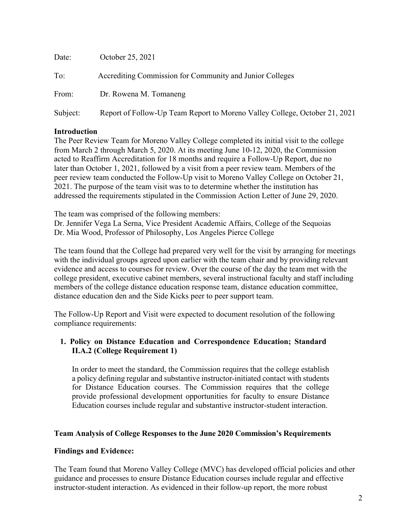| Date:    | October 25, 2021                                                           |
|----------|----------------------------------------------------------------------------|
| To:      | Accrediting Commission for Community and Junior Colleges                   |
| From:    | Dr. Rowena M. Tomaneng                                                     |
| Subject: | Report of Follow-Up Team Report to Moreno Valley College, October 21, 2021 |

## **Introduction**

The Peer Review Team for Moreno Valley College completed its initial visit to the college from March 2 through March 5, 2020. At its meeting June 10-12, 2020, the Commission acted to Reaffirm Accreditation for 18 months and require a Follow-Up Report, due no later than October 1, 2021, followed by a visit from a peer review team. Members of the peer review team conducted the Follow-Up visit to Moreno Valley College on October 21, 2021. The purpose of the team visit was to to determine whether the institution has addressed the requirements stipulated in the Commission Action Letter of June 29, 2020.

The team was comprised of the following members:

Dr. Jennifer Vega La Serna, Vice President Academic Affairs, College of the Sequoias Dr. Mia Wood, Professor of Philosophy, Los Angeles Pierce College

The team found that the College had prepared very well for the visit by arranging for meetings with the individual groups agreed upon earlier with the team chair and by providing relevant evidence and access to courses for review. Over the course of the day the team met with the college president, executive cabinet members, several instructional faculty and staff including members of the college distance education response team, distance education committee, distance education den and the Side Kicks peer to peer support team.

The Follow-Up Report and Visit were expected to document resolution of the following compliance requirements:

## **1. Policy on Distance Education and Correspondence Education; Standard II.A.2 (College Requirement 1)**

In order to meet the standard, the Commission requires that the college establish a policy defining regular and substantive instructor-initiated contact with students for Distance Education courses. The Commission requires that the college provide professional development opportunities for faculty to ensure Distance Education courses include regular and substantive instructor-student interaction.

#### **Team Analysis of College Responses to the June 2020 Commission's Requirements**

# **Findings and Evidence:**

The Team found that Moreno Valley College (MVC) has developed official policies and other guidance and processes to ensure Distance Education courses include regular and effective instructor-student interaction. As evidenced in their follow-up report, the more robust